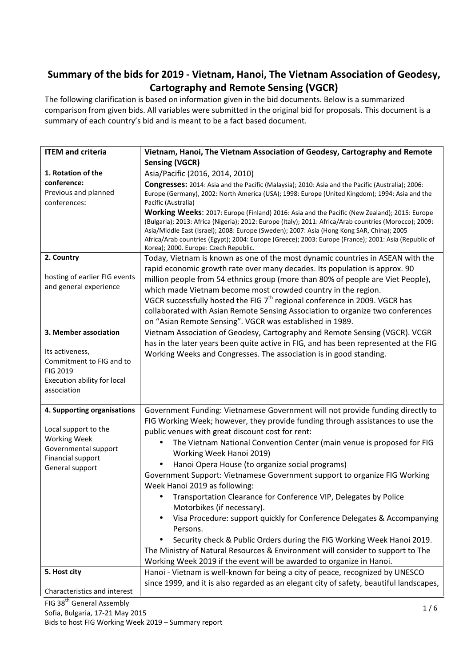## Summary of the bids for 2019 - Vietnam, Hanoi, The Vietnam Association of Geodesy, Cartography and Remote Sensing (VGCR)

The following clarification is based on information given in the bid documents. Below is a summarized comparison from given bids. All variables were submitted in the original bid for proposals. This document is a summary of each country's bid and is meant to be a fact based document.

| <b>ITEM and criteria</b>                                                                              | Vietnam, Hanoi, The Vietnam Association of Geodesy, Cartography and Remote                                                                                                                                                                                                                                                                                                                                                                                             |  |  |
|-------------------------------------------------------------------------------------------------------|------------------------------------------------------------------------------------------------------------------------------------------------------------------------------------------------------------------------------------------------------------------------------------------------------------------------------------------------------------------------------------------------------------------------------------------------------------------------|--|--|
|                                                                                                       | <b>Sensing (VGCR)</b>                                                                                                                                                                                                                                                                                                                                                                                                                                                  |  |  |
| 1. Rotation of the                                                                                    | Asia/Pacific (2016, 2014, 2010)                                                                                                                                                                                                                                                                                                                                                                                                                                        |  |  |
| conference:                                                                                           | Congresses: 2014: Asia and the Pacific (Malaysia); 2010: Asia and the Pacific (Australia); 2006:                                                                                                                                                                                                                                                                                                                                                                       |  |  |
| Previous and planned                                                                                  | Europe (Germany), 2002: North America (USA); 1998: Europe (United Kingdom); 1994: Asia and the                                                                                                                                                                                                                                                                                                                                                                         |  |  |
| conferences:                                                                                          | Pacific (Australia)                                                                                                                                                                                                                                                                                                                                                                                                                                                    |  |  |
|                                                                                                       | Working Weeks: 2017: Europe (Finland) 2016: Asia and the Pacific (New Zealand); 2015: Europe<br>(Bulgaria); 2013: Africa (Nigeria); 2012: Europe (Italy); 2011: Africa/Arab countries (Morocco); 2009:<br>Asia/Middle East (Israel); 2008: Europe (Sweden); 2007: Asia (Hong Kong SAR, China); 2005<br>Africa/Arab countries (Egypt); 2004: Europe (Greece); 2003: Europe (France); 2001: Asia (Republic of<br>Korea); 2000. Europe: Czech Republic.                   |  |  |
| 2. Country                                                                                            | Today, Vietnam is known as one of the most dynamic countries in ASEAN with the                                                                                                                                                                                                                                                                                                                                                                                         |  |  |
| hosting of earlier FIG events<br>and general experience                                               | rapid economic growth rate over many decades. Its population is approx. 90<br>million people from 54 ethnics group (more than 80% of people are Viet People),<br>which made Vietnam become most crowded country in the region.<br>VGCR successfully hosted the FIG 7 <sup>th</sup> regional conference in 2009. VGCR has<br>collaborated with Asian Remote Sensing Association to organize two conferences<br>on "Asian Remote Sensing". VGCR was established in 1989. |  |  |
| 3. Member association                                                                                 | Vietnam Association of Geodesy, Cartography and Remote Sensing (VGCR). VCGR                                                                                                                                                                                                                                                                                                                                                                                            |  |  |
| Its activeness,<br>Commitment to FIG and to<br>FIG 2019<br>Execution ability for local<br>association | has in the later years been quite active in FIG, and has been represented at the FIG<br>Working Weeks and Congresses. The association is in good standing.                                                                                                                                                                                                                                                                                                             |  |  |
| 4. Supporting organisations<br>Local support to the                                                   | Government Funding: Vietnamese Government will not provide funding directly to<br>FIG Working Week; however, they provide funding through assistances to use the                                                                                                                                                                                                                                                                                                       |  |  |
| <b>Working Week</b>                                                                                   | public venues with great discount cost for rent:                                                                                                                                                                                                                                                                                                                                                                                                                       |  |  |
| Governmental support                                                                                  | The Vietnam National Convention Center (main venue is proposed for FIG<br>$\bullet$<br>Working Week Hanoi 2019)                                                                                                                                                                                                                                                                                                                                                        |  |  |
| Financial support<br>General support                                                                  | Hanoi Opera House (to organize social programs)                                                                                                                                                                                                                                                                                                                                                                                                                        |  |  |
|                                                                                                       | Government Support: Vietnamese Government support to organize FIG Working<br>Week Hanoi 2019 as following:                                                                                                                                                                                                                                                                                                                                                             |  |  |
|                                                                                                       | Transportation Clearance for Conference VIP, Delegates by Police<br>Motorbikes (if necessary).                                                                                                                                                                                                                                                                                                                                                                         |  |  |
|                                                                                                       | Visa Procedure: support quickly for Conference Delegates & Accompanying<br>$\bullet$<br>Persons.                                                                                                                                                                                                                                                                                                                                                                       |  |  |
|                                                                                                       | Security check & Public Orders during the FIG Working Week Hanoi 2019.<br>The Ministry of Natural Resources & Environment will consider to support to The                                                                                                                                                                                                                                                                                                              |  |  |
|                                                                                                       | Working Week 2019 if the event will be awarded to organize in Hanoi.                                                                                                                                                                                                                                                                                                                                                                                                   |  |  |
| 5. Host city                                                                                          | Hanoi - Vietnam is well-known for being a city of peace, recognized by UNESCO                                                                                                                                                                                                                                                                                                                                                                                          |  |  |
|                                                                                                       | since 1999, and it is also regarded as an elegant city of safety, beautiful landscapes,                                                                                                                                                                                                                                                                                                                                                                                |  |  |
| Characteristics and interest                                                                          |                                                                                                                                                                                                                                                                                                                                                                                                                                                                        |  |  |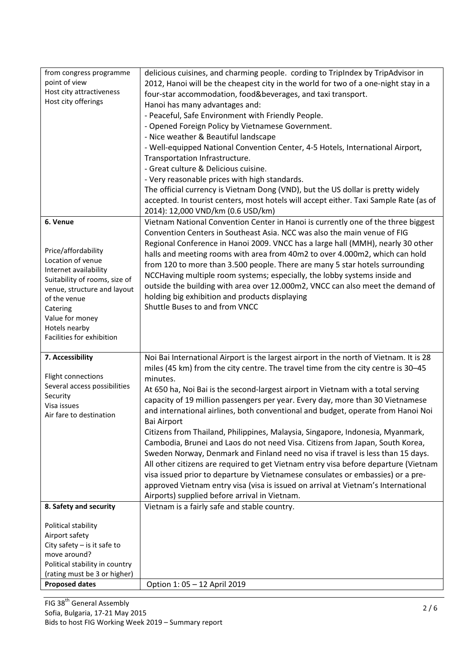| from congress programme                                      |                                                                                        |  |  |  |
|--------------------------------------------------------------|----------------------------------------------------------------------------------------|--|--|--|
| point of view                                                | delicious cuisines, and charming people. cording to TripIndex by TripAdvisor in        |  |  |  |
| Host city attractiveness                                     | 2012, Hanoi will be the cheapest city in the world for two of a one-night stay in a    |  |  |  |
| Host city offerings                                          | four-star accommodation, food&beverages, and taxi transport.                           |  |  |  |
|                                                              | Hanoi has many advantages and:                                                         |  |  |  |
|                                                              | - Peaceful, Safe Environment with Friendly People.                                     |  |  |  |
|                                                              | - Opened Foreign Policy by Vietnamese Government.                                      |  |  |  |
|                                                              | - Nice weather & Beautiful landscape                                                   |  |  |  |
|                                                              | - Well-equipped National Convention Center, 4-5 Hotels, International Airport,         |  |  |  |
|                                                              | Transportation Infrastructure.                                                         |  |  |  |
|                                                              | - Great culture & Delicious cuisine.                                                   |  |  |  |
|                                                              | - Very reasonable prices with high standards.                                          |  |  |  |
|                                                              | The official currency is Vietnam Dong (VND), but the US dollar is pretty widely        |  |  |  |
|                                                              | accepted. In tourist centers, most hotels will accept either. Taxi Sample Rate (as of  |  |  |  |
|                                                              | 2014): 12,000 VND/km (0.6 USD/km)                                                      |  |  |  |
| 6. Venue                                                     | Vietnam National Convention Center in Hanoi is currently one of the three biggest      |  |  |  |
|                                                              | Convention Centers in Southeast Asia. NCC was also the main venue of FIG               |  |  |  |
|                                                              | Regional Conference in Hanoi 2009. VNCC has a large hall (MMH), nearly 30 other        |  |  |  |
| Price/affordability                                          | halls and meeting rooms with area from 40m2 to over 4.000m2, which can hold            |  |  |  |
| Location of venue                                            | from 120 to more than 3.500 people. There are many 5 star hotels surrounding           |  |  |  |
| Internet availability                                        | NCCHaving multiple room systems; especially, the lobby systems inside and              |  |  |  |
| Suitability of rooms, size of<br>venue, structure and layout | outside the building with area over 12.000m2, VNCC can also meet the demand of         |  |  |  |
| of the venue                                                 | holding big exhibition and products displaying                                         |  |  |  |
| Catering                                                     | Shuttle Buses to and from VNCC                                                         |  |  |  |
| Value for money                                              |                                                                                        |  |  |  |
| Hotels nearby                                                |                                                                                        |  |  |  |
| Facilities for exhibition                                    |                                                                                        |  |  |  |
|                                                              |                                                                                        |  |  |  |
| 7. Accessibility                                             | Noi Bai International Airport is the largest airport in the north of Vietnam. It is 28 |  |  |  |
|                                                              | miles (45 km) from the city centre. The travel time from the city centre is 30-45      |  |  |  |
| Flight connections                                           | minutes.                                                                               |  |  |  |
| Several access possibilities                                 | At 650 ha, Noi Bai is the second-largest airport in Vietnam with a total serving       |  |  |  |
| Security                                                     | capacity of 19 million passengers per year. Every day, more than 30 Vietnamese         |  |  |  |
| Visa issues                                                  | and international airlines, both conventional and budget, operate from Hanoi Noi       |  |  |  |
| Air fare to destination                                      | <b>Bai Airport</b>                                                                     |  |  |  |
|                                                              | Citizens from Thailand, Philippines, Malaysia, Singapore, Indonesia, Myanmark,         |  |  |  |
|                                                              | Cambodia, Brunei and Laos do not need Visa. Citizens from Japan, South Korea,          |  |  |  |
|                                                              | Sweden Norway, Denmark and Finland need no visa if travel is less than 15 days.        |  |  |  |
|                                                              | All other citizens are required to get Vietnam entry visa before departure (Vietnam    |  |  |  |
|                                                              | visa issued prior to departure by Vietnamese consulates or embassies) or a pre-        |  |  |  |
|                                                              | approved Vietnam entry visa (visa is issued on arrival at Vietnam's International      |  |  |  |
|                                                              | Airports) supplied before arrival in Vietnam.                                          |  |  |  |
| 8. Safety and security                                       | Vietnam is a fairly safe and stable country.                                           |  |  |  |
|                                                              |                                                                                        |  |  |  |
| Political stability                                          |                                                                                        |  |  |  |
| Airport safety                                               |                                                                                        |  |  |  |
| City safety $-$ is it safe to                                |                                                                                        |  |  |  |
| move around?                                                 |                                                                                        |  |  |  |
|                                                              |                                                                                        |  |  |  |
| Political stability in country                               |                                                                                        |  |  |  |
| (rating must be 3 or higher)<br><b>Proposed dates</b>        | Option 1: 05 - 12 April 2019                                                           |  |  |  |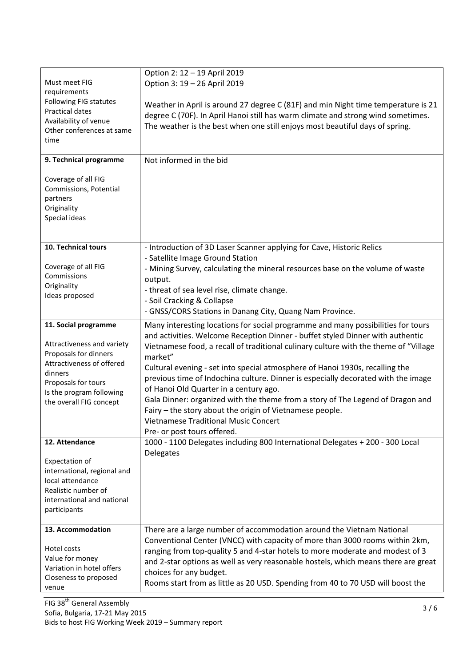| Must meet FIG<br>requirements<br>Following FIG statutes<br>Practical dates<br>Availability of venue<br>Other conferences at same<br>time<br>9. Technical programme<br>Coverage of all FIG<br>Commissions, Potential<br>partners<br>Originality<br>Special ideas | Option 2: 12 - 19 April 2019<br>Option 3: 19 - 26 April 2019<br>Weather in April is around 27 degree C (81F) and min Night time temperature is 21<br>degree C (70F). In April Hanoi still has warm climate and strong wind sometimes.<br>The weather is the best when one still enjoys most beautiful days of spring.<br>Not informed in the bid                                                                                                                                                                                                                                                                                                                                                                 |
|-----------------------------------------------------------------------------------------------------------------------------------------------------------------------------------------------------------------------------------------------------------------|------------------------------------------------------------------------------------------------------------------------------------------------------------------------------------------------------------------------------------------------------------------------------------------------------------------------------------------------------------------------------------------------------------------------------------------------------------------------------------------------------------------------------------------------------------------------------------------------------------------------------------------------------------------------------------------------------------------|
| 10. Technical tours<br>Coverage of all FIG<br>Commissions<br>Originality<br>Ideas proposed                                                                                                                                                                      | - Introduction of 3D Laser Scanner applying for Cave, Historic Relics<br>- Satellite Image Ground Station<br>- Mining Survey, calculating the mineral resources base on the volume of waste<br>output.<br>- threat of sea level rise, climate change.<br>- Soil Cracking & Collapse<br>- GNSS/CORS Stations in Danang City, Quang Nam Province.                                                                                                                                                                                                                                                                                                                                                                  |
| 11. Social programme<br>Attractiveness and variety<br>Proposals for dinners<br>Attractiveness of offered<br>dinners<br>Proposals for tours<br>Is the program following<br>the overall FIG concept                                                               | Many interesting locations for social programme and many possibilities for tours<br>and activities. Welcome Reception Dinner - buffet styled Dinner with authentic<br>Vietnamese food, a recall of traditional culinary culture with the theme of "Village<br>market"<br>Cultural evening - set into special atmosphere of Hanoi 1930s, recalling the<br>previous time of Indochina culture. Dinner is especially decorated with the image<br>of Hanoi Old Quarter in a century ago.<br>Gala Dinner: organized with the theme from a story of The Legend of Dragon and<br>Fairy - the story about the origin of Vietnamese people.<br><b>Vietnamese Traditional Music Concert</b><br>Pre- or post tours offered. |
| 12. Attendance<br>Expectation of<br>international, regional and<br>local attendance<br>Realistic number of<br>international and national<br>participants                                                                                                        | 1000 - 1100 Delegates including 800 International Delegates + 200 - 300 Local<br>Delegates                                                                                                                                                                                                                                                                                                                                                                                                                                                                                                                                                                                                                       |
| 13. Accommodation<br>Hotel costs<br>Value for money<br>Variation in hotel offers<br>Closeness to proposed<br>venue                                                                                                                                              | There are a large number of accommodation around the Vietnam National<br>Conventional Center (VNCC) with capacity of more than 3000 rooms within 2km,<br>ranging from top-quality 5 and 4-star hotels to more moderate and modest of 3<br>and 2-star options as well as very reasonable hostels, which means there are great<br>choices for any budget.<br>Rooms start from as little as 20 USD. Spending from 40 to 70 USD will boost the                                                                                                                                                                                                                                                                       |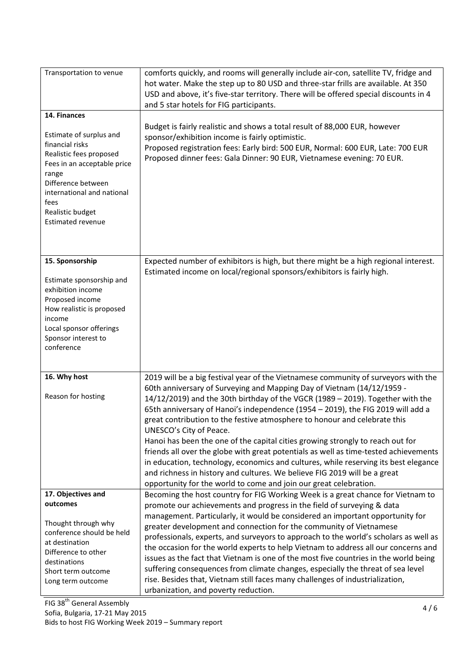| Transportation to venue                                                                                                                                                                                                                   | comforts quickly, and rooms will generally include air-con, satellite TV, fridge and<br>hot water. Make the step up to 80 USD and three-star frills are available. At 350<br>USD and above, it's five-star territory. There will be offered special discounts in 4<br>and 5 star hotels for FIG participants.                                                                                                                                                                                                                                                                                                                                                                                                                                                                                                                                                |
|-------------------------------------------------------------------------------------------------------------------------------------------------------------------------------------------------------------------------------------------|--------------------------------------------------------------------------------------------------------------------------------------------------------------------------------------------------------------------------------------------------------------------------------------------------------------------------------------------------------------------------------------------------------------------------------------------------------------------------------------------------------------------------------------------------------------------------------------------------------------------------------------------------------------------------------------------------------------------------------------------------------------------------------------------------------------------------------------------------------------|
| 14. Finances<br>Estimate of surplus and<br>financial risks<br>Realistic fees proposed<br>Fees in an acceptable price<br>range<br>Difference between<br>international and national<br>fees<br>Realistic budget<br><b>Estimated revenue</b> | Budget is fairly realistic and shows a total result of 88,000 EUR, however<br>sponsor/exhibition income is fairly optimistic.<br>Proposed registration fees: Early bird: 500 EUR, Normal: 600 EUR, Late: 700 EUR<br>Proposed dinner fees: Gala Dinner: 90 EUR, Vietnamese evening: 70 EUR.                                                                                                                                                                                                                                                                                                                                                                                                                                                                                                                                                                   |
| 15. Sponsorship<br>Estimate sponsorship and<br>exhibition income<br>Proposed income<br>How realistic is proposed<br>income<br>Local sponsor offerings<br>Sponsor interest to<br>conference                                                | Expected number of exhibitors is high, but there might be a high regional interest.<br>Estimated income on local/regional sponsors/exhibitors is fairly high.                                                                                                                                                                                                                                                                                                                                                                                                                                                                                                                                                                                                                                                                                                |
| 16. Why host<br>Reason for hosting                                                                                                                                                                                                        | 2019 will be a big festival year of the Vietnamese community of surveyors with the<br>60th anniversary of Surveying and Mapping Day of Vietnam (14/12/1959 -<br>14/12/2019) and the 30th birthday of the VGCR (1989 - 2019). Together with the<br>65th anniversary of Hanoi's independence (1954 - 2019), the FIG 2019 will add a<br>great contribution to the festive atmosphere to honour and celebrate this<br>UNESCO's City of Peace.<br>Hanoi has been the one of the capital cities growing strongly to reach out for<br>friends all over the globe with great potentials as well as time-tested achievements<br>in education, technology, economics and cultures, while reserving its best elegance<br>and richness in history and cultures. We believe FIG 2019 will be a great<br>opportunity for the world to come and join our great celebration. |
| 17. Objectives and<br>outcomes<br>Thought through why<br>conference should be held<br>at destination<br>Difference to other<br>destinations<br>Short term outcome<br>Long term outcome                                                    | Becoming the host country for FIG Working Week is a great chance for Vietnam to<br>promote our achievements and progress in the field of surveying & data<br>management. Particularly, it would be considered an important opportunity for<br>greater development and connection for the community of Vietnamese<br>professionals, experts, and surveyors to approach to the world's scholars as well as<br>the occasion for the world experts to help Vietnam to address all our concerns and<br>issues as the fact that Vietnam is one of the most five countries in the world being<br>suffering consequences from climate changes, especially the threat of sea level<br>rise. Besides that, Vietnam still faces many challenges of industrialization,<br>urbanization, and poverty reduction.                                                           |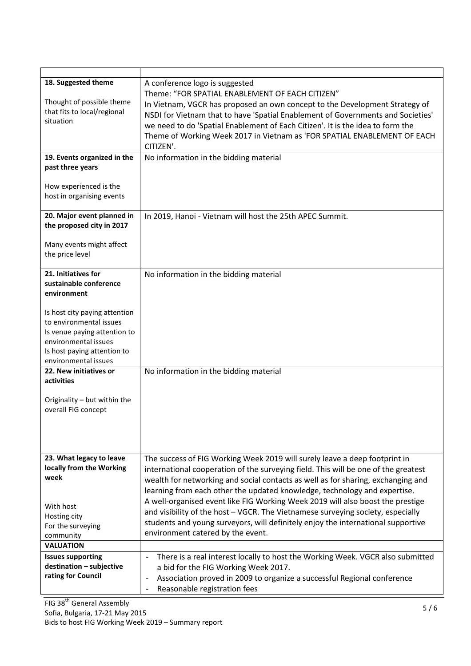| 18. Suggested theme<br>Thought of possible theme<br>that fits to local/regional<br>situation                                                                            | A conference logo is suggested<br>Theme: "FOR SPATIAL ENABLEMENT OF EACH CITIZEN"<br>In Vietnam, VGCR has proposed an own concept to the Development Strategy of<br>NSDI for Vietnam that to have 'Spatial Enablement of Governments and Societies'<br>we need to do 'Spatial Enablement of Each Citizen'. It is the idea to form the<br>Theme of Working Week 2017 in Vietnam as 'FOR SPATIAL ENABLEMENT OF EACH<br>CITIZEN'. |  |  |  |
|-------------------------------------------------------------------------------------------------------------------------------------------------------------------------|--------------------------------------------------------------------------------------------------------------------------------------------------------------------------------------------------------------------------------------------------------------------------------------------------------------------------------------------------------------------------------------------------------------------------------|--|--|--|
| 19. Events organized in the                                                                                                                                             | No information in the bidding material                                                                                                                                                                                                                                                                                                                                                                                         |  |  |  |
| past three years                                                                                                                                                        |                                                                                                                                                                                                                                                                                                                                                                                                                                |  |  |  |
| How experienced is the<br>host in organising events                                                                                                                     |                                                                                                                                                                                                                                                                                                                                                                                                                                |  |  |  |
| 20. Major event planned in                                                                                                                                              | In 2019, Hanoi - Vietnam will host the 25th APEC Summit.                                                                                                                                                                                                                                                                                                                                                                       |  |  |  |
| the proposed city in 2017                                                                                                                                               |                                                                                                                                                                                                                                                                                                                                                                                                                                |  |  |  |
| Many events might affect<br>the price level                                                                                                                             |                                                                                                                                                                                                                                                                                                                                                                                                                                |  |  |  |
| 21. Initiatives for                                                                                                                                                     | No information in the bidding material                                                                                                                                                                                                                                                                                                                                                                                         |  |  |  |
| sustainable conference                                                                                                                                                  |                                                                                                                                                                                                                                                                                                                                                                                                                                |  |  |  |
| environment                                                                                                                                                             |                                                                                                                                                                                                                                                                                                                                                                                                                                |  |  |  |
| Is host city paying attention<br>to environmental issues<br>Is venue paying attention to<br>environmental issues<br>Is host paying attention to<br>environmental issues |                                                                                                                                                                                                                                                                                                                                                                                                                                |  |  |  |
| 22. New initiatives or                                                                                                                                                  | No information in the bidding material                                                                                                                                                                                                                                                                                                                                                                                         |  |  |  |
| activities<br>Originality - but within the<br>overall FIG concept                                                                                                       |                                                                                                                                                                                                                                                                                                                                                                                                                                |  |  |  |
| 23. What legacy to leave                                                                                                                                                | The success of FIG Working Week 2019 will surely leave a deep footprint in                                                                                                                                                                                                                                                                                                                                                     |  |  |  |
| locally from the Working<br>week                                                                                                                                        | international cooperation of the surveying field. This will be one of the greatest                                                                                                                                                                                                                                                                                                                                             |  |  |  |
|                                                                                                                                                                         | wealth for networking and social contacts as well as for sharing, exchanging and                                                                                                                                                                                                                                                                                                                                               |  |  |  |
| With host<br>Hosting city<br>For the surveying<br>community                                                                                                             | learning from each other the updated knowledge, technology and expertise.<br>A well-organised event like FIG Working Week 2019 will also boost the prestige<br>and visibility of the host - VGCR. The Vietnamese surveying society, especially<br>students and young surveyors, will definitely enjoy the international supportive<br>environment catered by the event.                                                        |  |  |  |
| <b>VALUATION</b>                                                                                                                                                        |                                                                                                                                                                                                                                                                                                                                                                                                                                |  |  |  |
| <b>Issues supporting</b><br>destination - subjective<br>rating for Council                                                                                              | There is a real interest locally to host the Working Week. VGCR also submitted<br>a bid for the FIG Working Week 2017.<br>Association proved in 2009 to organize a successful Regional conference<br>Reasonable registration fees                                                                                                                                                                                              |  |  |  |